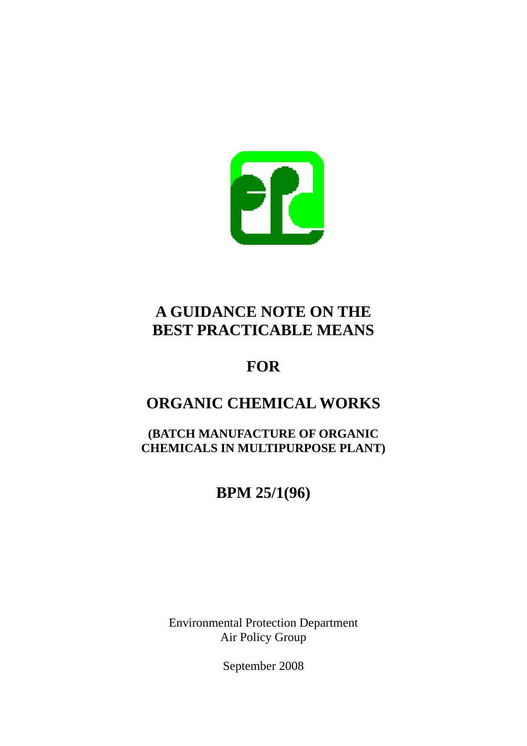

## **A GUIDANCE NOTE ON THE BEST PRACTICABLE MEANS**

## **FOR**

# **ORGANIC CHEMICAL WORKS**

**(BATCH MANUFACTURE OF ORGANIC CHEMICALS IN MULTIPURPOSE PLANT)** 

# **BPM 25/1(96)**

Environmental Protection Department Air Policy Group

September 2008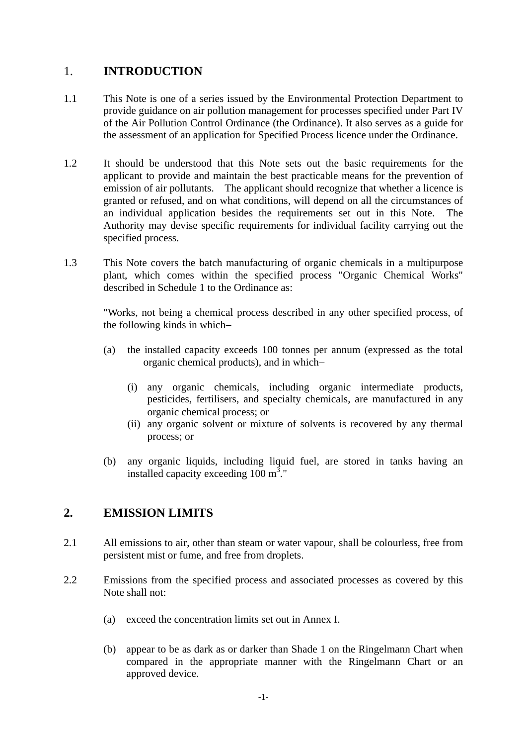## 1. **INTRODUCTION**

- 1.1 This Note is one of a series issued by the Environmental Protection Department to provide guidance on air pollution management for processes specified under Part IV of the Air Pollution Control Ordinance (the Ordinance). It also serves as a guide for the assessment of an application for Specified Process licence under the Ordinance.
- 1.2 It should be understood that this Note sets out the basic requirements for the applicant to provide and maintain the best practicable means for the prevention of emission of air pollutants. The applicant should recognize that whether a licence is granted or refused, and on what conditions, will depend on all the circumstances of an individual application besides the requirements set out in this Note. The Authority may devise specific requirements for individual facility carrying out the specified process.
- 1.3 This Note covers the batch manufacturing of organic chemicals in a multipurpose plant, which comes within the specified process "Organic Chemical Works" described in Schedule 1 to the Ordinance as:

"Works, not being a chemical process described in any other specified process, of the following kinds in which−

- (a) the installed capacity exceeds 100 tonnes per annum (expressed as the total organic chemical products), and in which−
	- (i) any organic chemicals, including organic intermediate products, pesticides, fertilisers, and specialty chemicals, are manufactured in any organic chemical process; or
	- (ii) any organic solvent or mixture of solvents is recovered by any thermal process; or
- (b) any organic liquids, including liquid fuel, are stored in tanks having an installed capacity exceeding  $100 \text{ m}^3$ ."

## **2. EMISSION LIMITS**

- 2.1 All emissions to air, other than steam or water vapour, shall be colourless, free from persistent mist or fume, and free from droplets.
- 2.2 Emissions from the specified process and associated processes as covered by this Note shall not:
	- (a) exceed the concentration limits set out in Annex I.
	- (b) appear to be as dark as or darker than Shade 1 on the Ringelmann Chart when compared in the appropriate manner with the Ringelmann Chart or an approved device.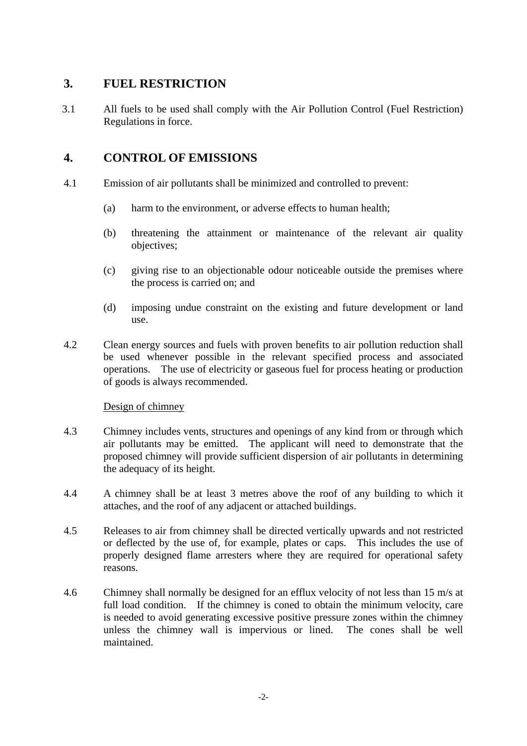## **3. FUEL RESTRICTION**

3.1 All fuels to be used shall comply with the Air Pollution Control (Fuel Restriction) Regulations in force.

## **4. CONTROL OF EMISSIONS**

- 4.1 Emission of air pollutants shall be minimized and controlled to prevent:
	- (a) harm to the environment, or adverse effects to human health;
	- (b) threatening the attainment or maintenance of the relevant air quality objectives;
	- (c) giving rise to an objectionable odour noticeable outside the premises where the process is carried on; and
	- (d) imposing undue constraint on the existing and future development or land use.
- 4.2 Clean energy sources and fuels with proven benefits to air pollution reduction shall be used whenever possible in the relevant specified process and associated operations. The use of electricity or gaseous fuel for process heating or production of goods is always recommended.

#### Design of chimney

- 4.3 Chimney includes vents, structures and openings of any kind from or through which air pollutants may be emitted. The applicant will need to demonstrate that the proposed chimney will provide sufficient dispersion of air pollutants in determining the adequacy of its height.
- 4.4 A chimney shall be at least 3 metres above the roof of any building to which it attaches, and the roof of any adjacent or attached buildings.
- 4.5 Releases to air from chimney shall be directed vertically upwards and not restricted or deflected by the use of, for example, plates or caps. This includes the use of properly designed flame arresters where they are required for operational safety reasons.
- 4.6 Chimney shall normally be designed for an efflux velocity of not less than 15 m/s at full load condition. If the chimney is coned to obtain the minimum velocity, care is needed to avoid generating excessive positive pressure zones within the chimney unless the chimney wall is impervious or lined. The cones shall be well maintained.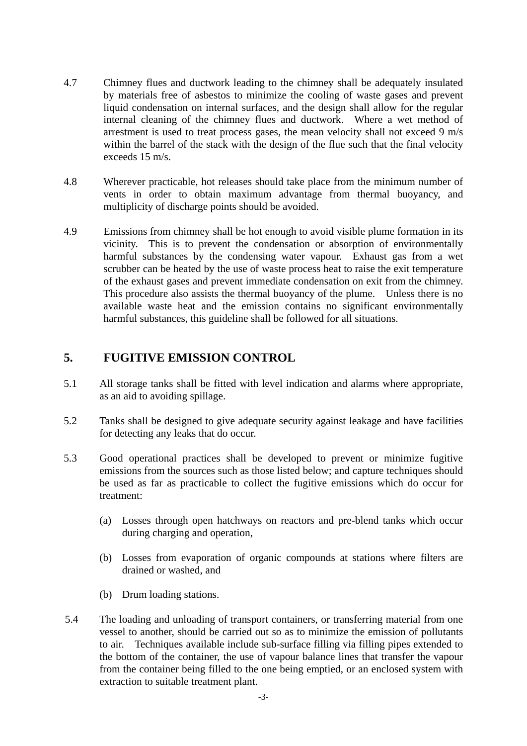- 4.7 Chimney flues and ductwork leading to the chimney shall be adequately insulated by materials free of asbestos to minimize the cooling of waste gases and prevent liquid condensation on internal surfaces, and the design shall allow for the regular internal cleaning of the chimney flues and ductwork. Where a wet method of arrestment is used to treat process gases, the mean velocity shall not exceed 9 m/s within the barrel of the stack with the design of the flue such that the final velocity exceeds 15 m/s.
- 4.8 Wherever practicable, hot releases should take place from the minimum number of vents in order to obtain maximum advantage from thermal buoyancy, and multiplicity of discharge points should be avoided.
- of the exhaust gases and prevent immediate condensation on exit from the chimney. 4.9 Emissions from chimney shall be hot enough to avoid visible plume formation in its vicinity. This is to prevent the condensation or absorption of environmentally harmful substances by the condensing water vapour. Exhaust gas from a wet scrubber can be heated by the use of waste process heat to raise the exit temperature This procedure also assists the thermal buoyancy of the plume. Unless there is no available waste heat and the emission contains no significant environmentally harmful substances, this guideline shall be followed for all situations.

### **5. FUGITIVE EMISSION CONTROL**

- 5.1 All storage tanks shall be fitted with level indication and alarms where appropriate, as an aid to avoiding spillage.
- 5.2 Tanks shall be designed to give adequate security against leakage and have facilities for detecting any leaks that do occur.
- 5.3 Good operational practices shall be developed to prevent or minimize fugitive emissions from the sources such as those listed below; and capture techniques should be used as far as practicable to collect the fugitive emissions which do occur for treatment:
	- (a) Losses through open hatchways on reactors and pre-blend tanks which occur during charging and operation,
	- (b) Losses from evaporation of organic compounds at stations where filters are drained or washed, and
	- (b) Drum loading stations.
- to air. Techniques available include sub-surface filling via filling pipes extended to 5.4 The loading and unloading of transport containers, or transferring material from one vessel to another, should be carried out so as to minimize the emission of pollutants the bottom of the container, the use of vapour balance lines that transfer the vapour from the container being filled to the one being emptied, or an enclosed system with extraction to suitable treatment plant.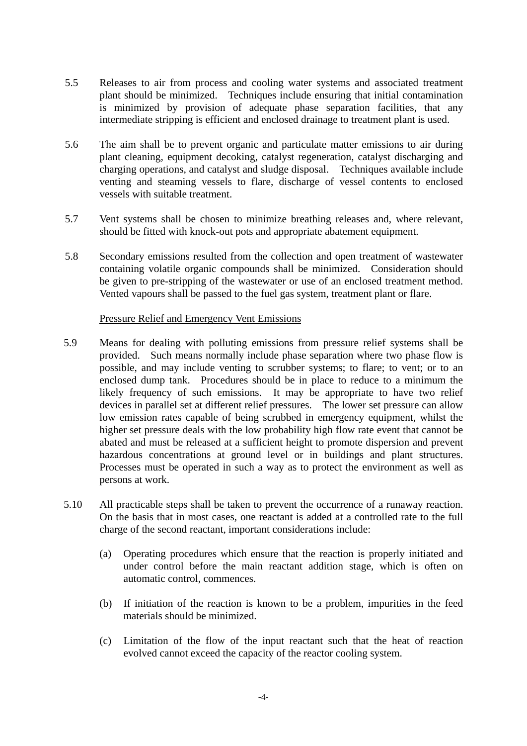- 5.5 Releases to air from process and cooling water systems and associated treatment plant should be minimized. Techniques include ensuring that initial contamination is minimized by provision of adequate phase separation facilities, that any intermediate stripping is efficient and enclosed drainage to treatment plant is used.
- 5.6 The aim shall be to prevent organic and particulate matter emissions to air during plant cleaning, equipment decoking, catalyst regeneration, catalyst discharging and charging operations, and catalyst and sludge disposal. Techniques available include venting and steaming vessels to flare, discharge of vessel contents to enclosed vessels with suitable treatment.
- 5.7 Vent systems shall be chosen to minimize breathing releases and, where relevant, should be fitted with knock-out pots and appropriate abatement equipment.
- be given to pre-stripping of the wastewater or use of an enclosed treatment method. 5.8 Secondary emissions resulted from the collection and open treatment of wastewater containing volatile organic compounds shall be minimized. Consideration should Vented vapours shall be passed to the fuel gas system, treatment plant or flare.

#### Pressure Relief and Emergency Vent Emissions

- devices in parallel set at different relief pressures. The lower set pressure can allow 5.9 Means for dealing with polluting emissions from pressure relief systems shall be provided. Such means normally include phase separation where two phase flow is possible, and may include venting to scrubber systems; to flare; to vent; or to an enclosed dump tank. Procedures should be in place to reduce to a minimum the likely frequency of such emissions. It may be appropriate to have two relief low emission rates capable of being scrubbed in emergency equipment, whilst the higher set pressure deals with the low probability high flow rate event that cannot be abated and must be released at a sufficient height to promote dispersion and prevent hazardous concentrations at ground level or in buildings and plant structures. Processes must be operated in such a way as to protect the environment as well as persons at work.
- 5.10 All practicable steps shall be taken to prevent the occurrence of a runaway reaction. On the basis that in most cases, one reactant is added at a controlled rate to the full charge of the second reactant, important considerations include:
	- (a) Operating procedures which ensure that the reaction is properly initiated and under control before the main reactant addition stage, which is often on automatic control, commences.
	- (b) If initiation of the reaction is known to be a problem, impurities in the feed materials should be minimized.
	- (c) Limitation of the flow of the input reactant such that the heat of reaction evolved cannot exceed the capacity of the reactor cooling system.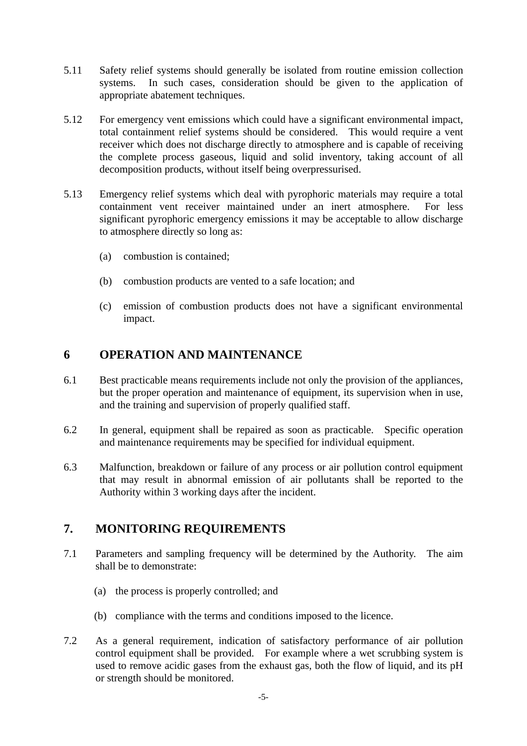- 5.11 Safety relief systems should generally be isolated from routine emission collection systems. In such cases, consideration should be given to the application of appropriate abatement techniques.
- 5.12 For emergency vent emissions which could have a significant environmental impact, total containment relief systems should be considered. This would require a vent receiver which does not discharge directly to atmosphere and is capable of receiving the complete process gaseous, liquid and solid inventory, taking account of all decomposition products, without itself being overpressurised.
- 5.13 Emergency relief systems which deal with pyrophoric materials may require a total containment vent receiver maintained under an inert atmosphere. For less significant pyrophoric emergency emissions it may be acceptable to allow discharge to atmosphere directly so long as:
	- (a) combustion is contained;
	- (b) combustion products are vented to a safe location; and
	- (c) emission of combustion products does not have a significant environmental impact.

## **6 OPERATION AND MAINTENANCE**

- 6.1 Best practicable means requirements include not only the provision of the appliances, but the proper operation and maintenance of equipment, its supervision when in use, and the training and supervision of properly qualified staff.
- 6.2 In general, equipment shall be repaired as soon as practicable. Specific operation and maintenance requirements may be specified for individual equipment.
- 6.3 Malfunction, breakdown or failure of any process or air pollution control equipment that may result in abnormal emission of air pollutants shall be reported to the Authority within 3 working days after the incident.

## **7. MONITORING REQUIREMENTS**

- 7.1 Parameters and sampling frequency will be determined by the Authority. The aim shall be to demonstrate:
	- (a) the process is properly controlled; and
	- (b) compliance with the terms and conditions imposed to the licence.
- 7.2 As a general requirement, indication of satisfactory performance of air pollution control equipment shall be provided. For example where a wet scrubbing system is used to remove acidic gases from the exhaust gas, both the flow of liquid, and its pH or strength should be monitored.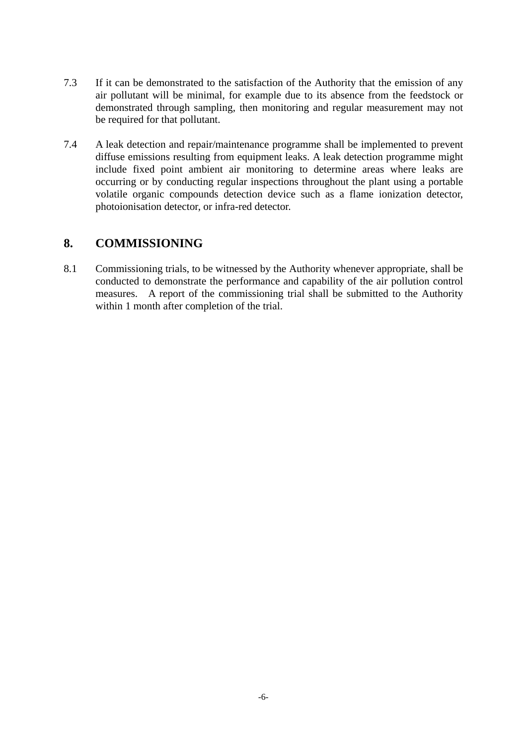- 7.3 If it can be demonstrated to the satisfaction of the Authority that the emission of any air pollutant will be minimal, for example due to its absence from the feedstock or demonstrated through sampling, then monitoring and regular measurement may not be required for that pollutant.
- 7.4 A leak detection and repair/maintenance programme shall be implemented to prevent diffuse emissions resulting from equipment leaks. A leak detection programme might include fixed point ambient air monitoring to determine areas where leaks are occurring or by conducting regular inspections throughout the plant using a portable volatile organic compounds detection device such as a flame ionization detector, photoionisation detector, or infra-red detector.

## **8. COMMISSIONING**

8.1 Commissioning trials, to be witnessed by the Authority whenever appropriate, shall be conducted to demonstrate the performance and capability of the air pollution control measures. A report of the commissioning trial shall be submitted to the Authority within 1 month after completion of the trial.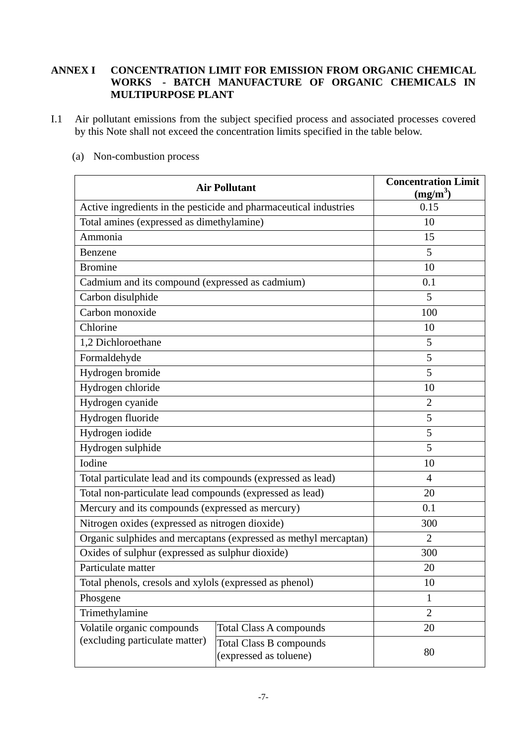#### **WORKS - BATCH MANUFACTURE OF ORGANIC CHEMICALS IN ANNEX I CONCENTRATION LIMIT FOR EMISSION FROM ORGANIC CHEMICAL MULTIPURPOSE PLANT**

by this Note shall not exceed the concentration limits specified in the table below.<br>
(a) Non-combustion process I.1 Air pollutant emissions from the subject specified process and associated processes covered

| <b>Air Pollutant</b>                                              |                                                          | <b>Concentration Limit</b><br>(mg/m <sup>3</sup> ) |
|-------------------------------------------------------------------|----------------------------------------------------------|----------------------------------------------------|
| Active ingredients in the pesticide and pharmaceutical industries |                                                          | 0.15                                               |
| Total amines (expressed as dimethylamine)                         |                                                          | 10                                                 |
| Ammonia                                                           |                                                          | 15                                                 |
| Benzene                                                           |                                                          | 5                                                  |
| <b>Bromine</b>                                                    | 10                                                       |                                                    |
| Cadmium and its compound (expressed as cadmium)                   | 0.1                                                      |                                                    |
| Carbon disulphide                                                 | 5                                                        |                                                    |
| Carbon monoxide                                                   | 100                                                      |                                                    |
| Chlorine                                                          | 10                                                       |                                                    |
| 1,2 Dichloroethane                                                | 5                                                        |                                                    |
| Formaldehyde                                                      | 5                                                        |                                                    |
| Hydrogen bromide                                                  |                                                          | 5                                                  |
| Hydrogen chloride                                                 |                                                          | 10                                                 |
| Hydrogen cyanide                                                  |                                                          | $\overline{2}$                                     |
| Hydrogen fluoride                                                 |                                                          | 5                                                  |
| Hydrogen iodide                                                   |                                                          | 5                                                  |
| Hydrogen sulphide                                                 |                                                          | 5                                                  |
| Iodine                                                            |                                                          | 10                                                 |
| Total particulate lead and its compounds (expressed as lead)      |                                                          | $\overline{4}$                                     |
| Total non-particulate lead compounds (expressed as lead)          |                                                          | 20                                                 |
| Mercury and its compounds (expressed as mercury)                  |                                                          | 0.1                                                |
| Nitrogen oxides (expressed as nitrogen dioxide)                   |                                                          | 300                                                |
| Organic sulphides and mercaptans (expressed as methyl mercaptan)  |                                                          | $\overline{2}$                                     |
| Oxides of sulphur (expressed as sulphur dioxide)                  |                                                          | 300                                                |
| Particulate matter                                                |                                                          | 20                                                 |
| Total phenols, cresols and xylols (expressed as phenol)           |                                                          | 10                                                 |
| Phosgene                                                          |                                                          | $\mathbf{1}$                                       |
| Trimethylamine                                                    |                                                          | $\overline{2}$                                     |
| Volatile organic compounds                                        | <b>Total Class A compounds</b>                           | 20                                                 |
| (excluding particulate matter)                                    | <b>Total Class B compounds</b><br>(expressed as toluene) | 80                                                 |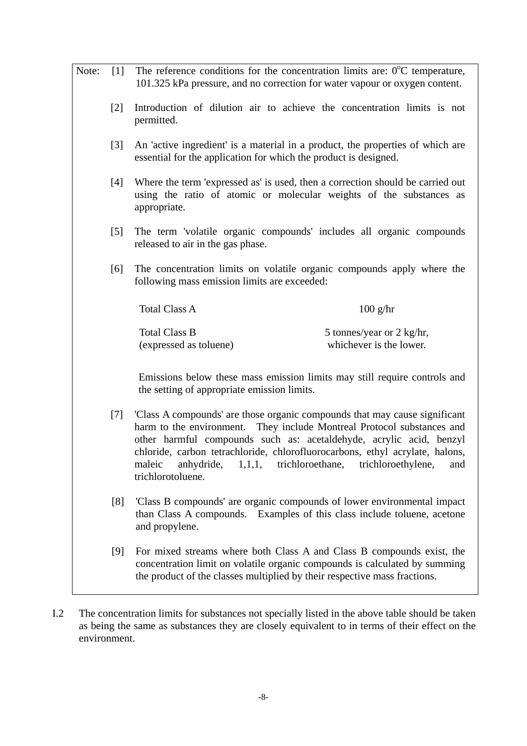| Note: | [1]   | The reference conditions for the concentration limits are: $0^{\circ}$ C temperature,<br>101.325 kPa pressure, and no correction for water vapour or oxygen content.                                                                                                                                                                                                                                                   |  |
|-------|-------|------------------------------------------------------------------------------------------------------------------------------------------------------------------------------------------------------------------------------------------------------------------------------------------------------------------------------------------------------------------------------------------------------------------------|--|
|       | $[2]$ | Introduction of dilution air to achieve the concentration limits is not<br>permitted.                                                                                                                                                                                                                                                                                                                                  |  |
|       | $[3]$ | An 'active ingredient' is a material in a product, the properties of which are<br>essential for the application for which the product is designed.                                                                                                                                                                                                                                                                     |  |
|       | $[4]$ | Where the term 'expressed as' is used, then a correction should be carried out<br>using the ratio of atomic or molecular weights of the substances as<br>appropriate.                                                                                                                                                                                                                                                  |  |
|       | [5]   | The term 'volatile organic compounds' includes all organic compounds<br>released to air in the gas phase.                                                                                                                                                                                                                                                                                                              |  |
|       | [6]   | The concentration limits on volatile organic compounds apply where the<br>following mass emission limits are exceeded:                                                                                                                                                                                                                                                                                                 |  |
|       |       | <b>Total Class A</b><br>$100$ g/hr                                                                                                                                                                                                                                                                                                                                                                                     |  |
|       |       | <b>Total Class B</b><br>5 tonnes/year or 2 kg/hr,<br>whichever is the lower.<br>(expressed as toluene)                                                                                                                                                                                                                                                                                                                 |  |
|       |       | Emissions below these mass emission limits may still require controls and<br>the setting of appropriate emission limits.                                                                                                                                                                                                                                                                                               |  |
|       | $[7]$ | 'Class A compounds' are those organic compounds that may cause significant<br>harm to the environment.<br>They include Montreal Protocol substances and<br>other harmful compounds such as: acetaldehyde, acrylic acid, benzyl<br>chloride, carbon tetrachloride, chlorofluorocarbons, ethyl acrylate, halons,<br>maleic<br>anhydride,<br>1,1,1,<br>trichloroethane,<br>trichloroethylene,<br>and<br>trichlorotoluene. |  |
|       | [8]   | 'Class B compounds' are organic compounds of lower environmental impact<br>than Class A compounds. Examples of this class include toluene, acetone<br>and propylene.                                                                                                                                                                                                                                                   |  |
|       | [9]   | For mixed streams where both Class A and Class B compounds exist, the<br>concentration limit on volatile organic compounds is calculated by summing<br>the product of the classes multiplied by their respective mass fractions.                                                                                                                                                                                       |  |

I.2 The concentration limits for substances not specially listed in the above table should be taken as being the same as substances they are closely equivalent to in terms of their effect on the environment.